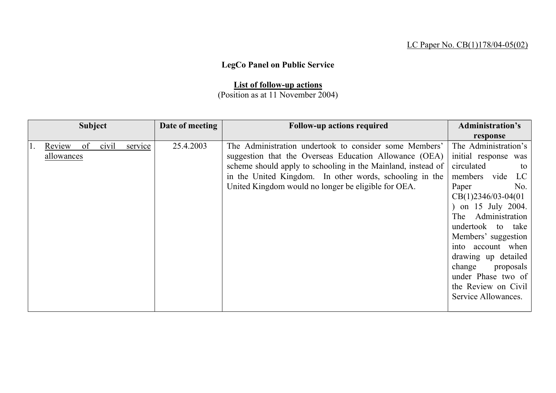## LC Paper No. CB(1)178/04-05(02)

## **LegCo Panel on Public Service**

## **List of follow-up actions**

## (Position as at 11 November 2004)

| <b>Subject</b> |    |       |         | Date of meeting | <b>Follow-up actions required</b>                            | <b>Administration's</b>     |
|----------------|----|-------|---------|-----------------|--------------------------------------------------------------|-----------------------------|
|                |    |       |         |                 |                                                              | response                    |
| Review         | of | civil | service | 25.4.2003       | The Administration undertook to consider some Members'       | The Administration's        |
| allowances     |    |       |         |                 | suggestion that the Overseas Education Allowance (OEA)       | initial response was        |
|                |    |       |         |                 | scheme should apply to schooling in the Mainland, instead of | circulated<br>to            |
|                |    |       |         |                 | in the United Kingdom. In other words, schooling in the      | members vide<br>$_{\rm LC}$ |
|                |    |       |         |                 | United Kingdom would no longer be eligible for OEA.          | Paper<br>No.                |
|                |    |       |         |                 |                                                              | $CB(1)2346/03-04(01)$       |
|                |    |       |         |                 |                                                              | on 15 July 2004.            |
|                |    |       |         |                 |                                                              | The Administration          |
|                |    |       |         |                 |                                                              | undertook to take           |
|                |    |       |         |                 |                                                              | Members' suggestion         |
|                |    |       |         |                 |                                                              | into account when           |
|                |    |       |         |                 |                                                              | drawing up detailed         |
|                |    |       |         |                 |                                                              | change<br>proposals         |
|                |    |       |         |                 |                                                              | under Phase two of          |
|                |    |       |         |                 |                                                              | the Review on Civil         |
|                |    |       |         |                 |                                                              | Service Allowances.         |
|                |    |       |         |                 |                                                              |                             |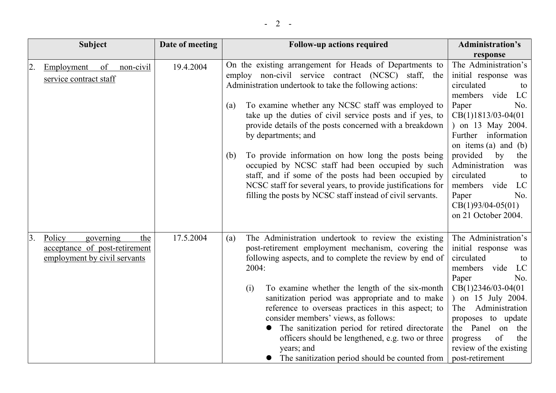| Subject                                                                       |                  | Date of meeting | <b>Follow-up actions required</b>                                                                                                                                                                                                                                                                                                                                                                                                                                                                                   | <b>Administration's</b>                                                                                                                                                                                                                                                           |
|-------------------------------------------------------------------------------|------------------|-----------------|---------------------------------------------------------------------------------------------------------------------------------------------------------------------------------------------------------------------------------------------------------------------------------------------------------------------------------------------------------------------------------------------------------------------------------------------------------------------------------------------------------------------|-----------------------------------------------------------------------------------------------------------------------------------------------------------------------------------------------------------------------------------------------------------------------------------|
|                                                                               |                  |                 |                                                                                                                                                                                                                                                                                                                                                                                                                                                                                                                     | response                                                                                                                                                                                                                                                                          |
| 2.<br>Employment<br>service contract staff                                    | non-civil<br>of  | 19.4.2004       | On the existing arrangement for Heads of Departments to<br>employ non-civil service contract (NCSC) staff, the<br>Administration undertook to take the following actions:                                                                                                                                                                                                                                                                                                                                           | The Administration's<br>initial response was<br>circulated<br>to<br>members vide<br>LC                                                                                                                                                                                            |
|                                                                               |                  |                 | To examine whether any NCSC staff was employed to<br>(a)<br>take up the duties of civil service posts and if yes, to<br>provide details of the posts concerned with a breakdown<br>by departments; and                                                                                                                                                                                                                                                                                                              | Paper<br>No.<br>$CB(1)1813/03-04(01)$<br>) on 13 May 2004.<br>Further information<br>on items (a) and (b)                                                                                                                                                                         |
|                                                                               |                  |                 | To provide information on how long the posts being<br>(b)<br>occupied by NCSC staff had been occupied by such<br>staff, and if some of the posts had been occupied by<br>NCSC staff for several years, to provide justifications for<br>filling the posts by NCSC staff instead of civil servants.                                                                                                                                                                                                                  | provided<br>the<br>by<br>Administration<br>was<br>circulated<br>to<br>members vide<br>LC<br>Paper<br>No.<br>$CB(1)93/04-05(01)$<br>on 21 October 2004.                                                                                                                            |
| 3.<br>Policy<br>acceptance of post-retirement<br>employment by civil servants | governing<br>the | 17.5.2004       | The Administration undertook to review the existing<br>(a)<br>post-retirement employment mechanism, covering the<br>following aspects, and to complete the review by end of<br>2004:<br>To examine whether the length of the six-month<br>(i)<br>sanitization period was appropriate and to make<br>reference to overseas practices in this aspect; to<br>consider members' views, as follows:<br>The sanitization period for retired directorate<br>officers should be lengthened, e.g. two or three<br>years; and | The Administration's<br>initial response was<br>circulated<br>to<br>members vide<br>LC<br>No.<br>Paper<br>$CB(1)2346/03-04(01)$<br>) on 15 July 2004.<br>Administration<br>The<br>proposes to update<br>the Panel<br>the<br>on<br>of<br>the<br>progress<br>review of the existing |

• The sanitization period should be counted from post-retirement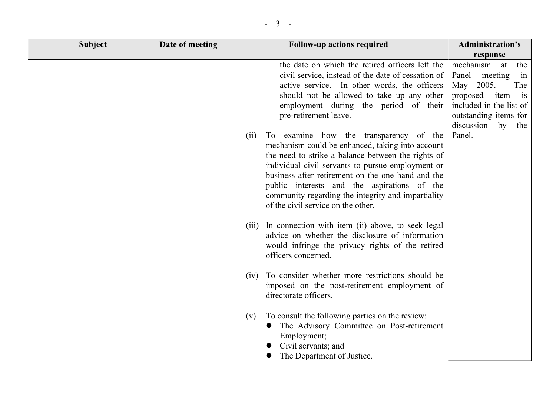| <b>Subject</b> | Date of meeting | <b>Follow-up actions required</b>                                                                                                                                                                                                                                                                                                                                                                             | <b>Administration's</b>                                                                                                                            |
|----------------|-----------------|---------------------------------------------------------------------------------------------------------------------------------------------------------------------------------------------------------------------------------------------------------------------------------------------------------------------------------------------------------------------------------------------------------------|----------------------------------------------------------------------------------------------------------------------------------------------------|
|                |                 |                                                                                                                                                                                                                                                                                                                                                                                                               | response                                                                                                                                           |
|                |                 | the date on which the retired officers left the<br>civil service, instead of the date of cessation of<br>active service. In other words, the officers<br>should not be allowed to take up any other<br>employment during the period of their<br>pre-retirement leave.                                                                                                                                         | mechanism<br>the<br>at<br>Panel<br>meeting<br>in<br>May 2005.<br>The<br>proposed<br>item<br>is<br>included in the list of<br>outstanding items for |
|                |                 | To examine how the transparency of the<br>(ii)<br>mechanism could be enhanced, taking into account<br>the need to strike a balance between the rights of<br>individual civil servants to pursue employment or<br>business after retirement on the one hand and the<br>public interests and the aspirations of the<br>community regarding the integrity and impartiality<br>of the civil service on the other. | discussion<br>by the<br>Panel.                                                                                                                     |
|                |                 | (iii) In connection with item (ii) above, to seek legal<br>advice on whether the disclosure of information<br>would infringe the privacy rights of the retired<br>officers concerned.                                                                                                                                                                                                                         |                                                                                                                                                    |
|                |                 | To consider whether more restrictions should be<br>(iv)<br>imposed on the post-retirement employment of<br>directorate officers.                                                                                                                                                                                                                                                                              |                                                                                                                                                    |
|                |                 | To consult the following parties on the review:<br>(v)<br>The Advisory Committee on Post-retirement<br>Employment;<br>Civil servants; and<br>The Department of Justice.                                                                                                                                                                                                                                       |                                                                                                                                                    |